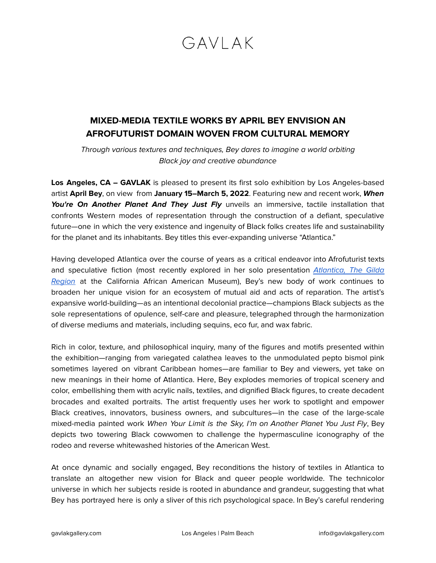## $GAVIAK$

## **MIXED-MEDIA TEXTILE WORKS BY APRIL BEY ENVISION AN AFROFUTURIST DOMAIN WOVEN FROM CULTURAL MEMORY**

Through various textures and techniques, Bey dares to imagine a world orbiting Black joy and creative abundance

Los Angeles, CA – GAVLAK is pleased to present its first solo exhibition by Los Angeles-based artist **April Bey**, on view from **January 15–March 5, 2022**. Featuring new and recent work, **When** You're On Another Planet And They Just Fly unveils an immersive, tactile installation that confronts Western modes of representation through the construction of a defiant, speculative future—one in which the very existence and ingenuity of Black folks creates life and sustainability for the planet and its inhabitants. Bey titles this ever-expanding universe "Atlantica."

Having developed Atlantica over the course of years as a critical endeavor into Afrofuturist texts and speculative fiction (most recently explored in her solo presentation [Atlantica, The Gilda](https://caamuseum.org/exhibitions/2021/april-bey-atlantica-the-gilda-region) [Region](https://caamuseum.org/exhibitions/2021/april-bey-atlantica-the-gilda-region) at the California African American Museum), Bey's new body of work continues to broaden her unique vision for an ecosystem of mutual aid and acts of reparation. The artist's expansive world-building—as an intentional decolonial practice—champions Black subjects as the sole representations of opulence, self-care and pleasure, telegraphed through the harmonization of diverse mediums and materials, including sequins, eco fur, and wax fabric.

Rich in color, texture, and philosophical inquiry, many of the figures and motifs presented within the exhibition—ranging from variegated calathea leaves to the unmodulated pepto bismol pink sometimes layered on vibrant Caribbean homes—are familiar to Bey and viewers, yet take on new meanings in their home of Atlantica. Here, Bey explodes memories of tropical scenery and color, embellishing them with acrylic nails, textiles, and dignified Black figures, to create decadent brocades and exalted portraits. The artist frequently uses her work to spotlight and empower Black creatives, innovators, business owners, and subcultures—in the case of the large-scale mixed-media painted work When Your Limit is the Sky, I'm on Another Planet You Just Fly, Bey depicts two towering Black cowwomen to challenge the hypermasculine iconography of the rodeo and reverse whitewashed histories of the American West.

At once dynamic and socially engaged, Bey reconditions the history of textiles in Atlantica to translate an altogether new vision for Black and queer people worldwide. The technicolor universe in which her subjects reside is rooted in abundance and grandeur, suggesting that what Bey has portrayed here is only a sliver of this rich psychological space. In Bey's careful rendering